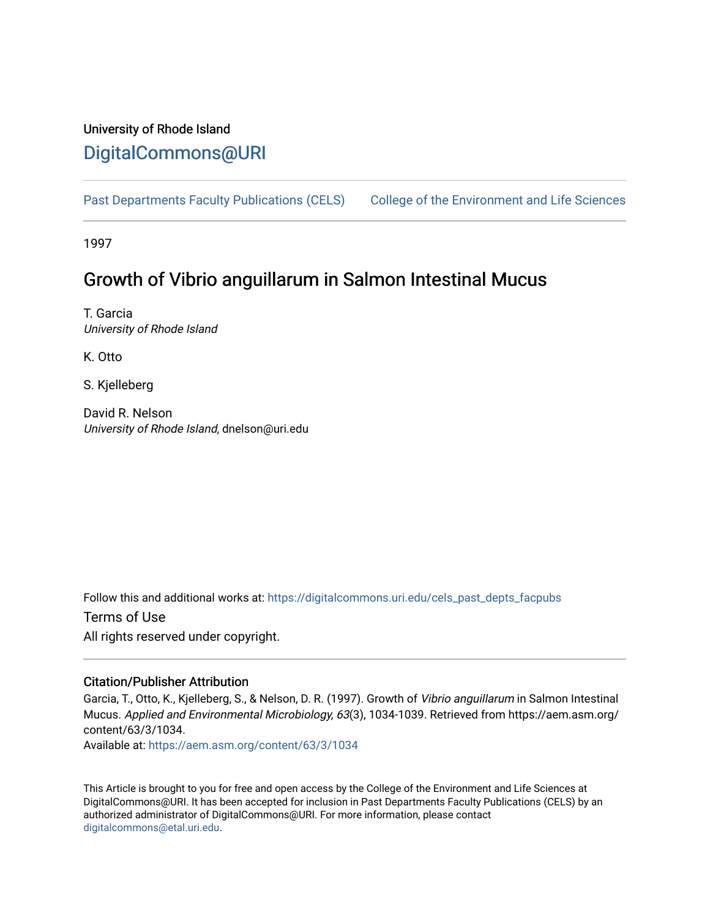# University of Rhode Island [DigitalCommons@URI](https://digitalcommons.uri.edu/)

[Past Departments Faculty Publications \(CELS\)](https://digitalcommons.uri.edu/cels_past_depts_facpubs) College of the Environment and Life Sciences

1997

# Growth of Vibrio anguillarum in Salmon Intestinal Mucus

T. Garcia University of Rhode Island

K. Otto

S. Kjelleberg

David R. Nelson University of Rhode Island, dnelson@uri.edu

Follow this and additional works at: [https://digitalcommons.uri.edu/cels\\_past\\_depts\\_facpubs](https://digitalcommons.uri.edu/cels_past_depts_facpubs?utm_source=digitalcommons.uri.edu%2Fcels_past_depts_facpubs%2F9&utm_medium=PDF&utm_campaign=PDFCoverPages) 

Terms of Use All rights reserved under copyright.

### Citation/Publisher Attribution

Garcia, T., Otto, K., Kjelleberg, S., & Nelson, D. R. (1997). Growth of Vibrio anguillarum in Salmon Intestinal Mucus. Applied and Environmental Microbiology, 63(3), 1034-1039. Retrieved from https://aem.asm.org/ content/63/3/1034.

Available at:<https://aem.asm.org/content/63/3/1034>

This Article is brought to you for free and open access by the College of the Environment and Life Sciences at DigitalCommons@URI. It has been accepted for inclusion in Past Departments Faculty Publications (CELS) by an authorized administrator of DigitalCommons@URI. For more information, please contact [digitalcommons@etal.uri.edu](mailto:digitalcommons@etal.uri.edu).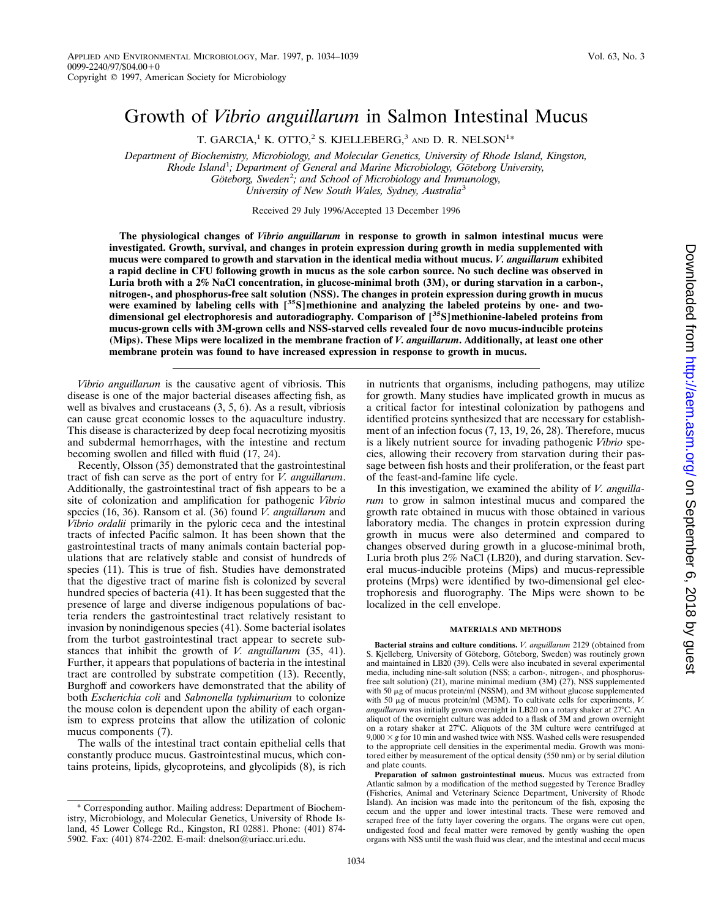## Growth of *Vibrio anguillarum* in Salmon Intestinal Mucus

T. GARCIA,<sup>1</sup> K. OTTO,<sup>2</sup> S. KJELLEBERG,<sup>3</sup> and D. R. NELSON<sup>1</sup>\*

*Department of Biochemistry, Microbiology, and Molecular Genetics, University of Rhode Island, Kingston, Rhode Island*<sup>1</sup> *; Department of General and Marine Microbiology, Go¨teborg University,* Göteborg, Sweden<sup>2</sup>; and School of Microbiology and Immunology, *University of New South Wales, Sydney, Australia*<sup>3</sup>

Received 29 July 1996/Accepted 13 December 1996

**The physiological changes of** *Vibrio anguillarum* **in response to growth in salmon intestinal mucus were investigated. Growth, survival, and changes in protein expression during growth in media supplemented with mucus were compared to growth and starvation in the identical media without mucus.** *V. anguillarum* **exhibited a rapid decline in CFU following growth in mucus as the sole carbon source. No such decline was observed in Luria broth with a 2% NaCl concentration, in glucose-minimal broth (3M), or during starvation in a carbon-, nitrogen-, and phosphorus-free salt solution (NSS). The changes in protein expression during growth in mucus were examined by labeling cells with [35S]methionine and analyzing the labeled proteins by one- and twodimensional gel electrophoresis and autoradiography. Comparison of [35S]methionine-labeled proteins from mucus-grown cells with 3M-grown cells and NSS-starved cells revealed four de novo mucus-inducible proteins (Mips). These Mips were localized in the membrane fraction of** *V. anguillarum***. Additionally, at least one other membrane protein was found to have increased expression in response to growth in mucus.**

*Vibrio anguillarum* is the causative agent of vibriosis. This disease is one of the major bacterial diseases affecting fish, as well as bivalves and crustaceans (3, 5, 6). As a result, vibriosis can cause great economic losses to the aquaculture industry. This disease is characterized by deep focal necrotizing myositis and subdermal hemorrhages, with the intestine and rectum becoming swollen and filled with fluid (17, 24).

Recently, Olsson (35) demonstrated that the gastrointestinal tract of fish can serve as the port of entry for *V. anguillarum*. Additionally, the gastrointestinal tract of fish appears to be a site of colonization and amplification for pathogenic *Vibrio* species (16, 36). Ransom et al. (36) found *V. anguillarum* and *Vibrio ordalii* primarily in the pyloric ceca and the intestinal tracts of infected Pacific salmon. It has been shown that the gastrointestinal tracts of many animals contain bacterial populations that are relatively stable and consist of hundreds of species (11). This is true of fish. Studies have demonstrated that the digestive tract of marine fish is colonized by several hundred species of bacteria (41). It has been suggested that the presence of large and diverse indigenous populations of bacteria renders the gastrointestinal tract relatively resistant to invasion by nonindigenous species (41). Some bacterial isolates from the turbot gastrointestinal tract appear to secrete substances that inhibit the growth of *V. anguillarum* (35, 41). Further, it appears that populations of bacteria in the intestinal tract are controlled by substrate competition (13). Recently, Burghoff and coworkers have demonstrated that the ability of both *Escherichia coli* and *Salmonella typhimurium* to colonize the mouse colon is dependent upon the ability of each organism to express proteins that allow the utilization of colonic mucus components (7).

The walls of the intestinal tract contain epithelial cells that constantly produce mucus. Gastrointestinal mucus, which contains proteins, lipids, glycoproteins, and glycolipids (8), is rich

\* Corresponding author. Mailing address: Department of Biochemistry, Microbiology, and Molecular Genetics, University of Rhode Island, 45 Lower College Rd., Kingston, RI 02881. Phone: (401) 874- 5902. Fax: (401) 874-2202. E-mail: dnelson@uriacc.uri.edu.

in nutrients that organisms, including pathogens, may utilize for growth. Many studies have implicated growth in mucus as a critical factor for intestinal colonization by pathogens and identified proteins synthesized that are necessary for establishment of an infection focus (7, 13, 19, 26, 28). Therefore, mucus is a likely nutrient source for invading pathogenic *Vibrio* species, allowing their recovery from starvation during their passage between fish hosts and their proliferation, or the feast part of the feast-and-famine life cycle.

In this investigation, we examined the ability of *V. anguillarum* to grow in salmon intestinal mucus and compared the growth rate obtained in mucus with those obtained in various laboratory media. The changes in protein expression during growth in mucus were also determined and compared to changes observed during growth in a glucose-minimal broth, Luria broth plus 2% NaCl (LB20), and during starvation. Several mucus-inducible proteins (Mips) and mucus-repressible proteins (Mrps) were identified by two-dimensional gel electrophoresis and fluorography. The Mips were shown to be localized in the cell envelope.

#### **MATERIALS AND METHODS**

**Bacterial strains and culture conditions.** *V. anguillarum* 2129 (obtained from S. Kjelleberg, University of Göteborg, Göteborg, Sweden) was routinely grown and maintained in LB20 (39). Cells were also incubated in several experimental media, including nine-salt solution (NSS; a carbon-, nitrogen-, and phosphorusfree salt solution) (21), marine minimal medium (3M) (27), NSS supplemented with 50  $\mu$ g of mucus protein/ml (NSSM), and 3M without glucose supplemented with 50  $\mu$ g of mucus protein/ml (M3M). To cultivate cells for experiments, *V*. anguillarum was initially grown overnight in LB20 on a rotary shaker at 27°C. An aliquot of the overnight culture was added to a flask of 3M and grown overnight on a rotary shaker at 27°C. Aliquots of the 3M culture were centrifuged at  $9,000 \times g$  for 10 min and washed twice with NSS. Washed cells were resuspended to the appropriate cell densities in the experimental media. Growth was monitored either by measurement of the optical density (550 nm) or by serial dilution and plate counts.

**Preparation of salmon gastrointestinal mucus.** Mucus was extracted from Atlantic salmon by a modification of the method suggested by Terence Bradley (Fisheries, Animal and Veterinary Science Department, University of Rhode Island). An incision was made into the peritoneum of the fish, exposing the cecum and the upper and lower intestinal tracts. These were removed and scraped free of the fatty layer covering the organs. The organs were cut open, undigested food and fecal matter were removed by gently washing the open organs with NSS until the wash fluid was clear, and the intestinal and cecal mucus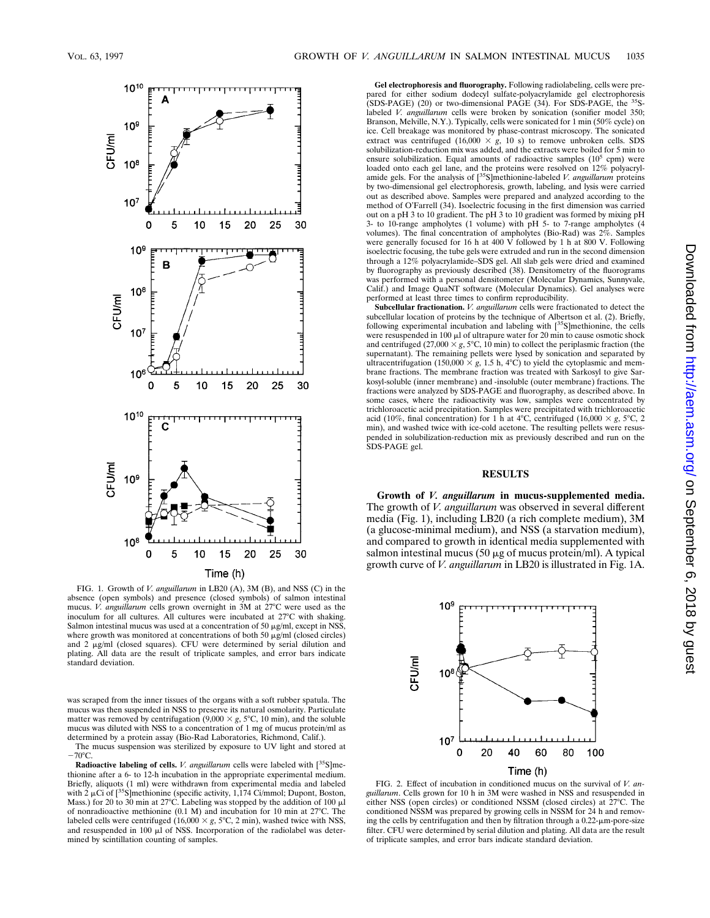

FIG. 1. Growth of *V. anguillarum* in LB20 (A), 3M (B), and NSS (C) in the absence (open symbols) and presence (closed symbols) of salmon intestinal mucus. *V. anguillarum* cells grown overnight in 3M at 27°C were used as the inoculum for all cultures. All cultures were incubated at  $27^{\circ}$ C with shaking. Salmon intestinal mucus was used at a concentration of 50  $\mu$ g/ml, except in NSS, where growth was monitored at concentrations of both 50  $\mu$ g/ml (closed circles) and 2 µg/ml (closed squares). CFU were determined by serial dilution and plating. All data are the result of triplicate samples, and error bars indicate standard deviation.

was scraped from the inner tissues of the organs with a soft rubber spatula. The mucus was then suspended in NSS to preserve its natural osmolarity. Particulate matter was removed by centrifugation  $(9,000 \times g, 5^{\circ}C, 10 \text{ min})$ , and the soluble mucus was diluted with NSS to a concentration of 1 mg of mucus protein/ml as determined by a protein assay (Bio-Rad Laboratories, Richmond, Calif.).

The mucus suspension was sterilized by exposure to UV light and stored at  $-70^{\circ}$ C.

**Radioactive labeling of cells.** *V. anguillarum* cells were labeled with [<sup>35</sup>S]me-thionine after a 6- to 12-h incubation in the appropriate experimental medium. Briefly, aliquots (1 ml) were withdrawn from experimental media and labeled with  $2 \mu$ Ci of  $[^{35}S]$ methionine (specific activity, 1,174 Ci/mmol; Dupont, Boston, Mass.) for 20 to 30 min at 27°C. Labeling was stopped by the addition of 100  $\mu$ l of nonradioactive methionine (0.1 M) and incubation for 10 min at  $27^{\circ}$ C. The labeled cells were centrifuged  $(16,000 \times g, 5^{\circ}C, 2 \text{ min})$ , washed twice with NSS, and resuspended in 100  $\mu$ l of NSS. Incorporation of the radiolabel was determined by scintillation counting of samples.

**Gel electrophoresis and fluorography.** Following radiolabeling, cells were prepared for either sodium dodecyl sulfate-polyacrylamide gel electrophoresis (SDS-PAGE) (20) or two-dimensional PAGE (34). For SDS-PAGE, the  $35$ Slabeled *V. anguillarum* cells were broken by sonication (sonifier model 350; Branson, Melville, N.Y.). Typically, cells were sonicated for 1 min (50% cycle) on ice. Cell breakage was monitored by phase-contrast microscopy. The sonicated extract was centrifuged (16,000  $\times$  *g*, 10 s) to remove unbroken cells. SDS solubilization-reduction mix was added, and the extracts were boiled for 5 min to ensure solubilization. Equal amounts of radioactive samples  $(10^5 \text{ cm})$  were loaded onto each gel lane, and the proteins were resolved on 12% polyacrylamide gels. For the analysis of [<sup>35</sup>S]methionine-labeled *V. anguillarum* proteins<br>by two-dimensional gel electrophoresis, growth, labeling, and lysis were carried out as described above. Samples were prepared and analyzed according to the method of O'Farrell (34). Isoelectric focusing in the first dimension was carried out on a pH 3 to 10 gradient. The pH 3 to 10 gradient was formed by mixing pH 3- to 10-range ampholytes (1 volume) with pH 5- to 7-range ampholytes (4 volumes). The final concentration of ampholytes (Bio-Rad) was 2%. Samples were generally focused for 16 h at 400 V followed by 1 h at 800 V. Following isoelectric focusing, the tube gels were extruded and run in the second dimension through a 12% polyacrylamide–SDS gel. All slab gels were dried and examined by fluorography as previously described (38). Densitometry of the fluorograms was performed with a personal densitometer (Molecular Dynamics, Sunnyvale, Calif.) and Image QuaNT software (Molecular Dynamics). Gel analyses were performed at least three times to confirm reproducibility.

**Subcellular fractionation.** *V. anguillarum* cells were fractionated to detect the subcellular location of proteins by the technique of Albertson et al. (2). Briefly, following experimental incubation and labeling with [35S]methionine, the cells were resuspended in  $100 \mu l$  of ultrapure water for  $20 \text{ min}$  to cause osmotic shock and centrifuged (27,000  $\times g$ , 5°C, 10 min) to collect the periplasmic fraction (the supernatant). The remaining pellets were lysed by sonication and separated by ultracentrifugation (150,000  $\times$  g, 1.5 h, 4°C) to yield the cytoplasmic and membrane fractions. The membrane fraction was treated with Sarkosyl to give Sarkosyl-soluble (inner membrane) and -insoluble (outer membrane) fractions. The fractions were analyzed by SDS-PAGE and fluorography, as described above. In some cases, where the radioactivity was low, samples were concentrated by trichloroacetic acid precipitation. Samples were precipitated with trichloroacetic acid (10%, final concentration) for 1 h at 4°C, centrifuged (16,000  $\times$  *g*, 5°C, 2 min), and washed twice with ice-cold acetone. The resulting pellets were resuspended in solubilization-reduction mix as previously described and run on the SDS-PAGE gel.

#### **RESULTS**

**Growth of** *V. anguillarum* **in mucus-supplemented media.** The growth of *V. anguillarum* was observed in several different media (Fig. 1), including LB20 (a rich complete medium), 3M (a glucose-minimal medium), and NSS (a starvation medium), and compared to growth in identical media supplemented with salmon intestinal mucus (50  $\mu$ g of mucus protein/ml). A typical growth curve of *V. anguillarum* in LB20 is illustrated in Fig. 1A.



FIG. 2. Effect of incubation in conditioned mucus on the survival of *V. anguillarum*. Cells grown for 10 h in 3M were washed in NSS and resuspended in either NSS (open circles) or conditioned NSSM (closed circles) at  $27^{\circ}$ C. The conditioned NSSM was prepared by growing cells in NSSM for 24 h and removing the cells by centrifugation and then by filtration through a  $0.22$ - $\mu$ m-pore-size filter. CFU were determined by serial dilution and plating. All data are the result of triplicate samples, and error bars indicate standard deviation.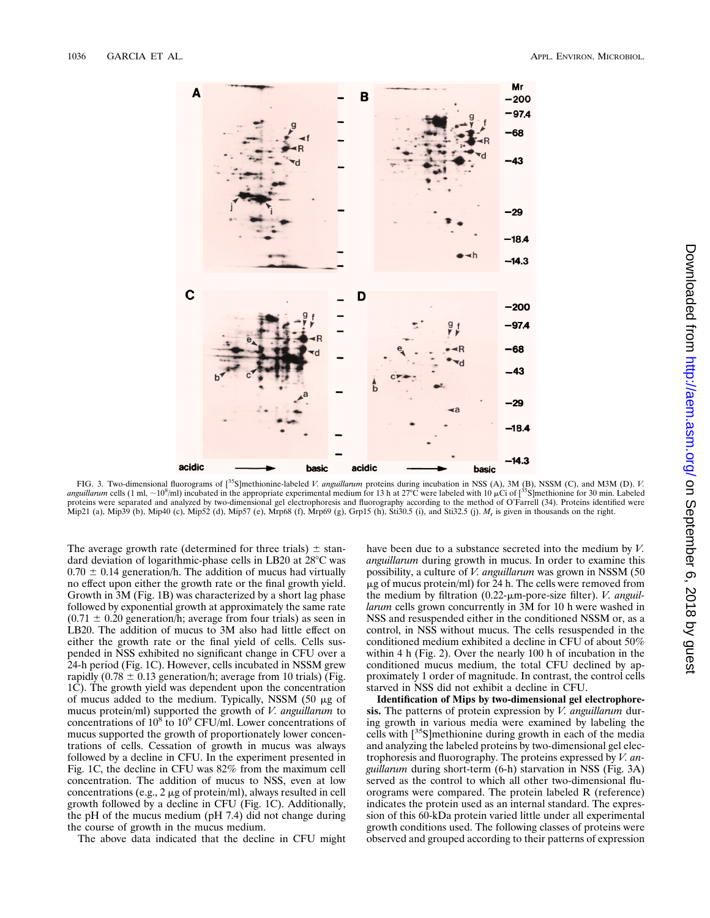

FIG. 3. Two-dimensional fluorograms of [35S]methionine-labeled *V. anguillarum* proteins during incubation in NSS (A), 3M (B), NSSM (C), and M3M (D). *V. anguillarum* cells (1 ml, ~10<sup>8</sup>/ml) incubated in the appropriate experimental medium for 13 h at 27°C were labeled with 10  $\mu$ Ci of [<sup>35</sup>S]methionine for 30 min. Labeled proteins were separated and analyzed by two-dimensional gel electrophoresis and fluorography according to the method of O'Farrell (34). Proteins identified were Mip21 (a), Mip39 (b), Mip40 (c), Mip52 (d), Mip57 (e), Mrp68 (f), Mrp69 (g), Grp15 (h), Sti30.5 (i), and Sti32.5 (j). *M*<sup>r</sup> is given in thousands on the right.

The average growth rate (determined for three trials)  $\pm$  standard deviation of logarithmic-phase cells in LB20 at  $28^{\circ}$ C was  $0.70 \pm 0.14$  generation/h. The addition of mucus had virtually no effect upon either the growth rate or the final growth yield. Growth in 3M (Fig. 1B) was characterized by a short lag phase followed by exponential growth at approximately the same rate  $(0.71 \pm 0.20$  generation/h; average from four trials) as seen in LB20. The addition of mucus to 3M also had little effect on either the growth rate or the final yield of cells. Cells suspended in NSS exhibited no significant change in CFU over a 24-h period (Fig. 1C). However, cells incubated in NSSM grew rapidly (0.78  $\pm$  0.13 generation/h; average from 10 trials) (Fig. 1C). The growth yield was dependent upon the concentration of mucus added to the medium. Typically, NSSM  $(50 \mu g)$  of mucus protein/ml) supported the growth of *V. anguillarum* to concentrations of 108 to 109 CFU/ml. Lower concentrations of mucus supported the growth of proportionately lower concentrations of cells. Cessation of growth in mucus was always followed by a decline in CFU. In the experiment presented in Fig. 1C, the decline in CFU was 82% from the maximum cell concentration. The addition of mucus to NSS, even at low concentrations (e.g.,  $2 \mu$ g of protein/ml), always resulted in cell growth followed by a decline in CFU (Fig. 1C). Additionally, the pH of the mucus medium (pH 7.4) did not change during the course of growth in the mucus medium.

The above data indicated that the decline in CFU might

have been due to a substance secreted into the medium by *V. anguillarum* during growth in mucus. In order to examine this possibility, a culture of *V. anguillarum* was grown in NSSM (50  $\mu$ g of mucus protein/ml) for 24 h. The cells were removed from the medium by filtration (0.22-μm-pore-size filter). *V. anguillarum* cells grown concurrently in 3M for 10 h were washed in NSS and resuspended either in the conditioned NSSM or, as a control, in NSS without mucus. The cells resuspended in the conditioned medium exhibited a decline in CFU of about 50% within 4 h (Fig. 2). Over the nearly 100 h of incubation in the conditioned mucus medium, the total CFU declined by approximately 1 order of magnitude. In contrast, the control cells starved in NSS did not exhibit a decline in CFU.

**Identification of Mips by two-dimensional gel electrophoresis.** The patterns of protein expression by *V. anguillarum* during growth in various media were examined by labeling the cells with [35S]methionine during growth in each of the media and analyzing the labeled proteins by two-dimensional gel electrophoresis and fluorography. The proteins expressed by *V. anguillarum* during short-term (6-h) starvation in NSS (Fig. 3A) served as the control to which all other two-dimensional fluorograms were compared. The protein labeled R (reference) indicates the protein used as an internal standard. The expression of this 60-kDa protein varied little under all experimental growth conditions used. The following classes of proteins were observed and grouped according to their patterns of expression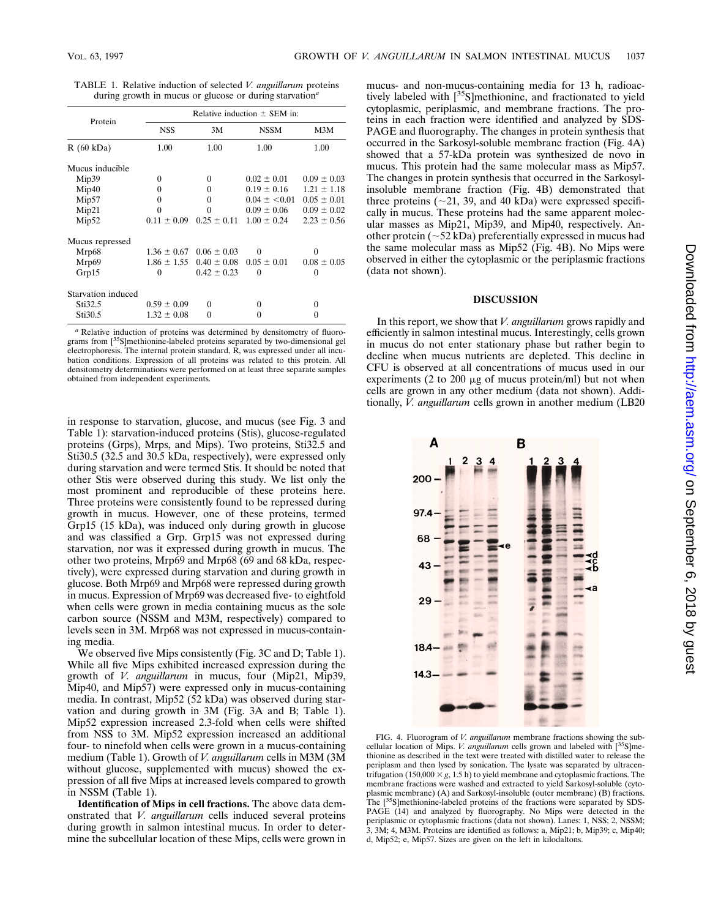| Protein            | Relative induction $\pm$ SEM in: |                                 |                 |                 |
|--------------------|----------------------------------|---------------------------------|-----------------|-----------------|
|                    | <b>NSS</b>                       | 3M                              | <b>NSSM</b>     | M3M             |
| R(60 kDa)          | 1.00                             | 1.00                            | 1.00            | 1.00            |
| Mucus inducible    |                                  |                                 |                 |                 |
| Mip39              | 0                                | 0                               | $0.02 \pm 0.01$ | $0.09 \pm 0.03$ |
| Mip40              | 0                                | 0                               | $0.19 \pm 0.16$ | $1.21 \pm 1.18$ |
| Mip57              | 0                                | 0                               | $0.04 \pm 0.01$ | $0.05 \pm 0.01$ |
| Mip21              | 0                                | 0                               | $0.09 \pm 0.06$ | $0.09 \pm 0.02$ |
| Mip52              | $0.11 \pm 0.09$                  | $0.25 \pm 0.11$                 | $1.00 \pm 0.24$ | $2.23 \pm 0.56$ |
| Mucus repressed    |                                  |                                 |                 |                 |
| Mrp68              |                                  | $1.36 \pm 0.67$ 0.06 $\pm$ 0.03 | $\theta$        | $\theta$        |
| Mrp69              |                                  | $1.86 \pm 1.55$ $0.40 \pm 0.08$ | $0.05 \pm 0.01$ | $0.08 \pm 0.05$ |
| Grp15              | 0                                | $0.42 \pm 0.23$                 | $\theta$        | 0               |
| Starvation induced |                                  |                                 |                 |                 |
| Sti32.5            | $0.59 \pm 0.09$                  | 0                               | 0               | 0               |
| Sti30.5            | $1.32 \pm 0.08$                  | 0                               | 0               | $\theta$        |

TABLE 1. Relative induction of selected *V. anguillarum* proteins during growth in mucus or glucose or during starvation*<sup>a</sup>*

*<sup>a</sup>* Relative induction of proteins was determined by densitometry of fluorograms from [35S]methionine-labeled proteins separated by two-dimensional gel electrophoresis. The internal protein standard, R, was expressed under all incubation conditions. Expression of all proteins was related to this protein. All densitometry determinations were performed on at least three separate samples obtained from independent experiments.

in response to starvation, glucose, and mucus (see Fig. 3 and Table 1): starvation-induced proteins (Stis), glucose-regulated proteins (Grps), Mrps, and Mips). Two proteins, Sti32.5 and Sti30.5 (32.5 and 30.5 kDa, respectively), were expressed only during starvation and were termed Stis. It should be noted that other Stis were observed during this study. We list only the most prominent and reproducible of these proteins here. Three proteins were consistently found to be repressed during growth in mucus. However, one of these proteins, termed Grp15 (15 kDa), was induced only during growth in glucose and was classified a Grp. Grp15 was not expressed during starvation, nor was it expressed during growth in mucus. The other two proteins, Mrp69 and Mrp68 (69 and 68 kDa, respectively), were expressed during starvation and during growth in glucose. Both Mrp69 and Mrp68 were repressed during growth in mucus. Expression of Mrp69 was decreased five- to eightfold when cells were grown in media containing mucus as the sole carbon source (NSSM and M3M, respectively) compared to levels seen in 3M. Mrp68 was not expressed in mucus-containing media.

We observed five Mips consistently (Fig. 3C and D; Table 1). While all five Mips exhibited increased expression during the growth of *V. anguillarum* in mucus, four (Mip21, Mip39, Mip40, and Mip57) were expressed only in mucus-containing media. In contrast, Mip52 (52 kDa) was observed during starvation and during growth in 3M (Fig. 3A and B; Table 1). Mip52 expression increased 2.3-fold when cells were shifted from NSS to 3M. Mip52 expression increased an additional four- to ninefold when cells were grown in a mucus-containing medium (Table 1). Growth of *V. anguillarum* cells in M3M (3M without glucose, supplemented with mucus) showed the expression of all five Mips at increased levels compared to growth in NSSM (Table 1).

**Identification of Mips in cell fractions.** The above data demonstrated that *V. anguillarum* cells induced several proteins during growth in salmon intestinal mucus. In order to determine the subcellular location of these Mips, cells were grown in mucus- and non-mucus-containing media for 13 h, radioactively labeled with [<sup>35</sup>S]methionine, and fractionated to yield cytoplasmic, periplasmic, and membrane fractions. The proteins in each fraction were identified and analyzed by SDS-PAGE and fluorography. The changes in protein synthesis that occurred in the Sarkosyl-soluble membrane fraction (Fig. 4A) showed that a 57-kDa protein was synthesized de novo in mucus. This protein had the same molecular mass as Mip57. The changes in protein synthesis that occurred in the Sarkosylinsoluble membrane fraction (Fig. 4B) demonstrated that three proteins ( $\sim$ 21, 39, and 40 kDa) were expressed specifically in mucus. These proteins had the same apparent molecular masses as Mip21, Mip39, and Mip40, respectively. Another protein ( $\sim$ 52 kDa) preferentially expressed in mucus had the same molecular mass as Mip52 (Fig. 4B). No Mips were observed in either the cytoplasmic or the periplasmic fractions (data not shown).

#### **DISCUSSION**

In this report, we show that *V. anguillarum* grows rapidly and efficiently in salmon intestinal mucus. Interestingly, cells grown in mucus do not enter stationary phase but rather begin to decline when mucus nutrients are depleted. This decline in CFU is observed at all concentrations of mucus used in our experiments (2 to 200  $\mu$ g of mucus protein/ml) but not when cells are grown in any other medium (data not shown). Additionally, *V. anguillarum* cells grown in another medium (LB20

A B  $\mathfrak{p}$ 3 200 97.4 68 43 29 18.4 14.3

FIG. 4. Fluorogram of *V. anguillarum* membrane fractions showing the subcellular location of Mips. *V. anguillarum* cells grown and labeled with [<sup>35</sup>S]methionine as described in the text were treated with distilled water to release the periplasm and then lysed by sonication. The lysate was separated by ultracentrifugation (150,000  $\times g$ , 1.5 h) to yield membrane and cytoplasmic fractions. The membrane fractions were washed and extracted to yield Sarkosyl-soluble (cytoplasmic membrane) (A) and Sarkosyl-insoluble (outer membrane) (B) fractions. The [<sup>35</sup>S]methionine-labeled proteins of the fractions were separated by SDS-PAGE (14) and analyzed by fluorography. No Mips were detected in the periplasmic or cytoplasmic fractions (data not shown). Lanes: 1, NSS; 2, NSSM; 3, 3M; 4, M3M. Proteins are identified as follows: a, Mip21; b, Mip39; c, Mip40; d, Mip52; e, Mip57. Sizes are given on the left in kilodaltons.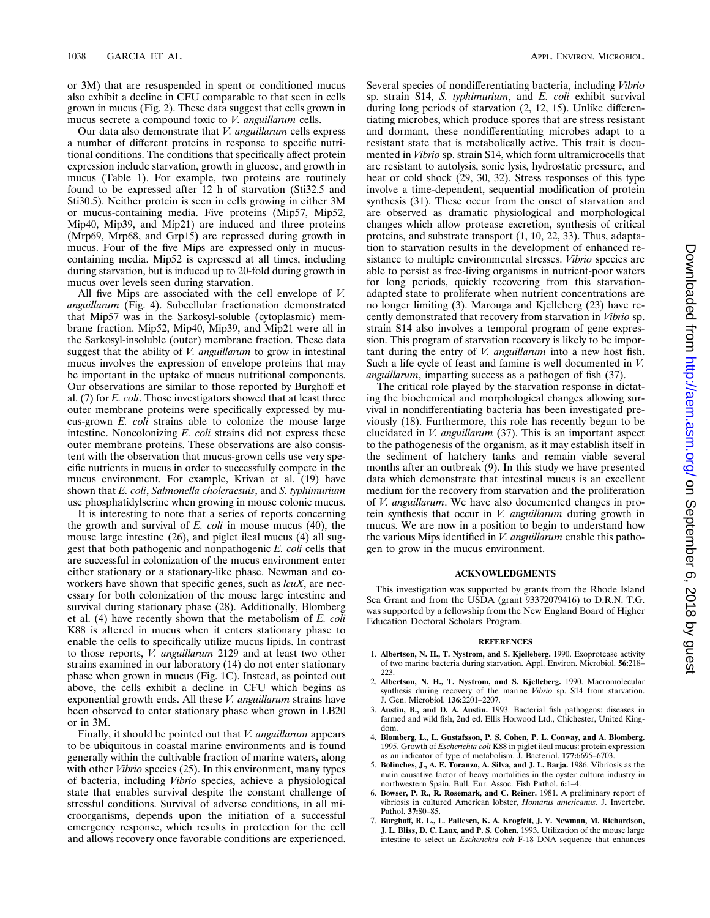or 3M) that are resuspended in spent or conditioned mucus also exhibit a decline in CFU comparable to that seen in cells grown in mucus (Fig. 2). These data suggest that cells grown in mucus secrete a compound toxic to *V. anguillarum* cells.

Our data also demonstrate that *V. anguillarum* cells express a number of different proteins in response to specific nutritional conditions. The conditions that specifically affect protein expression include starvation, growth in glucose, and growth in mucus (Table 1). For example, two proteins are routinely found to be expressed after 12 h of starvation (Sti32.5 and Sti30.5). Neither protein is seen in cells growing in either 3M or mucus-containing media. Five proteins (Mip57, Mip52, Mip40, Mip39, and Mip21) are induced and three proteins (Mrp69, Mrp68, and Grp15) are repressed during growth in mucus. Four of the five Mips are expressed only in mucuscontaining media. Mip52 is expressed at all times, including during starvation, but is induced up to 20-fold during growth in mucus over levels seen during starvation.

All five Mips are associated with the cell envelope of *V. anguillarum* (Fig. 4). Subcellular fractionation demonstrated that Mip57 was in the Sarkosyl-soluble (cytoplasmic) membrane fraction. Mip52, Mip40, Mip39, and Mip21 were all in the Sarkosyl-insoluble (outer) membrane fraction. These data suggest that the ability of *V. anguillarum* to grow in intestinal mucus involves the expression of envelope proteins that may be important in the uptake of mucus nutritional components. Our observations are similar to those reported by Burghoff et al. (7) for *E. coli*. Those investigators showed that at least three outer membrane proteins were specifically expressed by mucus-grown *E. coli* strains able to colonize the mouse large intestine. Noncolonizing *E. coli* strains did not express these outer membrane proteins. These observations are also consistent with the observation that mucus-grown cells use very specific nutrients in mucus in order to successfully compete in the mucus environment. For example, Krivan et al. (19) have shown that *E. coli*, *Salmonella choleraesuis*, and *S. typhimurium* use phosphatidylserine when growing in mouse colonic mucus.

It is interesting to note that a series of reports concerning the growth and survival of *E. coli* in mouse mucus (40), the mouse large intestine (26), and piglet ileal mucus (4) all suggest that both pathogenic and nonpathogenic *E. coli* cells that are successful in colonization of the mucus environment enter either stationary or a stationary-like phase. Newman and coworkers have shown that specific genes, such as *leuX*, are necessary for both colonization of the mouse large intestine and survival during stationary phase (28). Additionally, Blomberg et al. (4) have recently shown that the metabolism of *E. coli* K88 is altered in mucus when it enters stationary phase to enable the cells to specifically utilize mucus lipids. In contrast to those reports, *V. anguillarum* 2129 and at least two other strains examined in our laboratory (14) do not enter stationary phase when grown in mucus (Fig. 1C). Instead, as pointed out above, the cells exhibit a decline in CFU which begins as exponential growth ends. All these *V. anguillarum* strains have been observed to enter stationary phase when grown in LB20 or in 3M.

Finally, it should be pointed out that *V. anguillarum* appears to be ubiquitous in coastal marine environments and is found generally within the cultivable fraction of marine waters, along with other *Vibrio* species (25). In this environment, many types of bacteria, including *Vibrio* species, achieve a physiological state that enables survival despite the constant challenge of stressful conditions. Survival of adverse conditions, in all microorganisms, depends upon the initiation of a successful emergency response, which results in protection for the cell and allows recovery once favorable conditions are experienced.

Several species of nondifferentiating bacteria, including *Vibrio* sp. strain S14, *S. typhimurium*, and *E. coli* exhibit survival during long periods of starvation (2, 12, 15). Unlike differentiating microbes, which produce spores that are stress resistant and dormant, these nondifferentiating microbes adapt to a resistant state that is metabolically active. This trait is documented in *Vibrio* sp. strain S14, which form ultramicrocells that are resistant to autolysis, sonic lysis, hydrostatic pressure, and heat or cold shock (29, 30, 32). Stress responses of this type involve a time-dependent, sequential modification of protein synthesis (31). These occur from the onset of starvation and are observed as dramatic physiological and morphological changes which allow protease excretion, synthesis of critical proteins, and substrate transport (1, 10, 22, 33). Thus, adaptation to starvation results in the development of enhanced resistance to multiple environmental stresses. *Vibrio* species are able to persist as free-living organisms in nutrient-poor waters for long periods, quickly recovering from this starvationadapted state to proliferate when nutrient concentrations are no longer limiting (3). Marouga and Kjelleberg (23) have recently demonstrated that recovery from starvation in *Vibrio* sp. strain S14 also involves a temporal program of gene expression. This program of starvation recovery is likely to be important during the entry of *V. anguillarum* into a new host fish. Such a life cycle of feast and famine is well documented in *V. anguillarum*, imparting success as a pathogen of fish (37).

The critical role played by the starvation response in dictating the biochemical and morphological changes allowing survival in nondifferentiating bacteria has been investigated previously (18). Furthermore, this role has recently begun to be elucidated in *V. anguillarum* (37). This is an important aspect to the pathogenesis of the organism, as it may establish itself in the sediment of hatchery tanks and remain viable several months after an outbreak (9). In this study we have presented data which demonstrate that intestinal mucus is an excellent medium for the recovery from starvation and the proliferation of *V. anguillarum*. We have also documented changes in protein synthesis that occur in *V. anguillarum* during growth in mucus. We are now in a position to begin to understand how the various Mips identified in *V. anguillarum* enable this pathogen to grow in the mucus environment.

#### **ACKNOWLEDGMENTS**

This investigation was supported by grants from the Rhode Island Sea Grant and from the USDA (grant 93372079416) to D.R.N. T.G. was supported by a fellowship from the New England Board of Higher Education Doctoral Scholars Program.

#### **REFERENCES**

- 1. **Albertson, N. H., T. Nystrom, and S. Kjelleberg.** 1990. Exoprotease activity of two marine bacteria during starvation. Appl. Environ. Microbiol. **56:**218– 223.
- 2. **Albertson, N. H., T. Nystrom, and S. Kjelleberg.** 1990. Macromolecular synthesis during recovery of the marine *Vibrio* sp. S14 from starvation. J. Gen. Microbiol. **136:**2201–2207.
- 3. **Austin, B., and D. A. Austin.** 1993. Bacterial fish pathogens: diseases in farmed and wild fish, 2nd ed. Ellis Horwood Ltd., Chichester, United Kingdom.
- 4. **Blomberg, L., L. Gustafsson, P. S. Cohen, P. L. Conway, and A. Blomberg.** 1995. Growth of *Escherichia coli* K88 in piglet ileal mucus: protein expression as an indicator of type of metabolism. J. Bacteriol. **177:**6695–6703.
- 5. **Bolinches, J., A. E. Toranzo, A. Silva, and J. L. Barja.** 1986. Vibriosis as the main causative factor of heavy mortalities in the oyster culture industry in northwestern Spain. Bull. Eur. Assoc. Fish Pathol. **6:**1–4.
- 6. **Bowser, P. R., R. Rosemark, and C. Reiner.** 1981. A preliminary report of vibriosis in cultured American lobster, *Homarus americanus*. J. Invertebr. Pathol. **37:**80–85.
- 7. **Burghoff, R. L., L. Pallesen, K. A. Krogfelt, J. V. Newman, M. Richardson, J. L. Bliss, D. C. Laux, and P. S. Cohen.** 1993. Utilization of the mouse large intestine to select an *Escherichia coli* F-18 DNA sequence that enhances